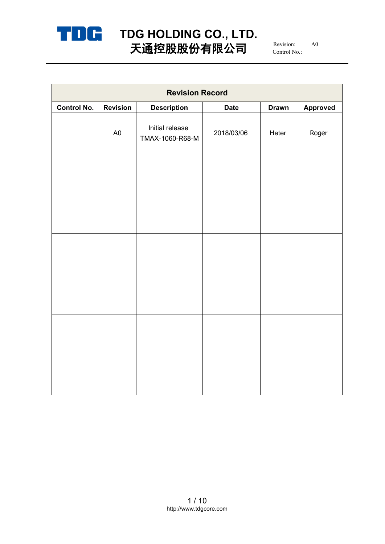

# **TDG HOLDING CO., LTD.** 天通控股股份有限公司  $^{\scriptscriptstyle\rm {Revision:}}$   $^{\scriptscriptstyle\rm {A0}}$

Revision: A0 Control No.:

| <b>Revision Record</b> |                 |                                    |             |              |                 |  |  |
|------------------------|-----------------|------------------------------------|-------------|--------------|-----------------|--|--|
| <b>Control No.</b>     | <b>Revision</b> | <b>Description</b>                 | <b>Date</b> | <b>Drawn</b> | <b>Approved</b> |  |  |
|                        | A <sub>0</sub>  | Initial release<br>TMAX-1060-R68-M | 2018/03/06  | Heter        | Roger           |  |  |
|                        |                 |                                    |             |              |                 |  |  |
|                        |                 |                                    |             |              |                 |  |  |
|                        |                 |                                    |             |              |                 |  |  |
|                        |                 |                                    |             |              |                 |  |  |
|                        |                 |                                    |             |              |                 |  |  |
|                        |                 |                                    |             |              |                 |  |  |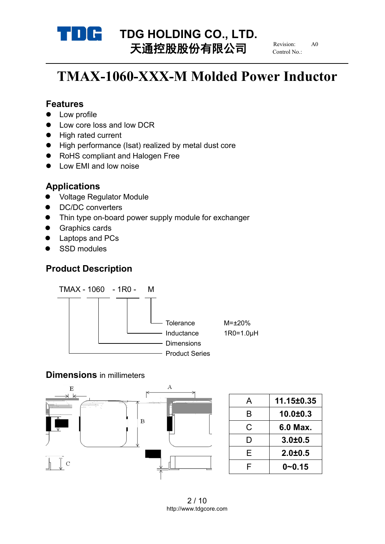

# **TDG HOLDING CO., LTD.**<br>
TX<del>HO</del>LDING **CO., LTD.** 天通控股股份有限公司

Revision: Control No.:

# **TMAX-1060-XXX-M Molded Power Inductor**

#### **Features**

- Low profile
- Low core loss and low DCR
- High rated current
- High performance (Isat) realized by metal dust core
- RoHS compliant and Halogen Free
- Low EMI and low noise

### **Applications**

- Voltage Regulator Module
- DC/DC converters
- Thin type on-board power supply module for exchanger
- **•** Graphics cards
- Laptops and PCs
- SSD modules

## **Product Description**



#### **Dimensions** in millimeters



2 / 10 http://www.tdgcore.com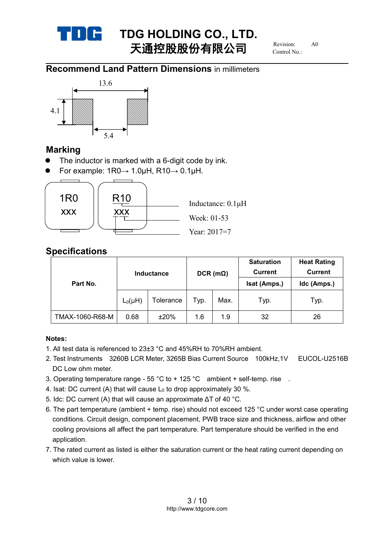

# **TDG HOLDING CO., LTD.**<br>
THEFT **H**  $\prime$ **)**  $\pm$  **FR**  $\prime$ **)**  $\pm$  Revision: 40 天通控股股份有限公司

Revision: Control No.:

## **Recommend Land Pattern Dimensions** in millimeters



### **Marking**

- The inductor is marked with a 6-digit code by ink.
- $\bullet$  For example: 1R0→ 1.0µH, R10→ 0.1µH.



## **Specifications**

|                 | <b>Inductance</b> |           | $DCR$ (m $\Omega$ ) |      | <b>Saturation</b><br><b>Current</b> | <b>Heat Rating</b><br><b>Current</b> |
|-----------------|-------------------|-----------|---------------------|------|-------------------------------------|--------------------------------------|
| Part No.        |                   |           |                     |      | Isat (Amps.)                        | Idc (Amps.)                          |
|                 | $L_0(\mu H)$      | Tolerance | Typ.                | Max. | Typ.                                | Typ.                                 |
| TMAX-1060-R68-M | 0.68              | ±20%      | 1.6                 | 1.9  | 32                                  | 26                                   |

#### **Notes:**

- 1. All test data is referenced to 23±3 °C and 45%RH to 70%RH ambient.
- 2. Test Instruments 3260B LCR Meter, 3265B Bias Current Source 100kHz,1V EUCOL-U2516B DC Low ohm meter.
- 3. Operating temperature range  $55 \degree C$  to +  $125 \degree C$  ambient + self-temp. rise .
- 4. Isat: DC current (A) that will cause  $L_0$  to drop approximately 30 %.
- 5. Idc: DC current (A) that will cause an approximate ΔT of 40 °C.
- 6. The part temperature (ambient + temp. rise) should not exceed 125 °C under worst case operating conditions. Circuit design, component placement, PWB trace size and thickness, airflow and other cooling provisions all affect the part temperature. Part temperature should be verified in the end application.
- 7. The rated current as listed is either the saturation current or the heat rating current depending on which value is lower.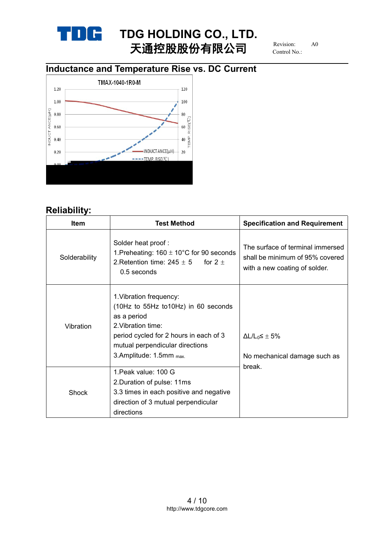

# **TDG HOLDING** CO., LTD.<br>  $\begin{array}{ccc}\n\text{Exymmetry} & \text{Exym} \\
\text{Exymmetry} & \text{Exym} \\
\end{array}$ 天通控股股份有限公司

Revision: Control No.:

# **Inductance and Temperature Rise vs. DC Current**



# **Reliability:**

| <b>Item</b>   | <b>Test Method</b>                                                                                                                                                                                          | <b>Specification and Requirement</b>                                                                 |  |
|---------------|-------------------------------------------------------------------------------------------------------------------------------------------------------------------------------------------------------------|------------------------------------------------------------------------------------------------------|--|
| Solderability | Solder heat proof:<br>1. Preheating: $160 \pm 10^{\circ}$ C for 90 seconds<br>2. Retention time: $245 \pm 5$<br>for 2 $\pm$<br>0.5 seconds                                                                  | The surface of terminal immersed<br>shall be minimum of 95% covered<br>with a new coating of solder. |  |
| Vibration     | 1. Vibration frequency:<br>(10Hz to 55Hz to10Hz) in 60 seconds<br>as a period<br>2. Vibration time:<br>period cycled for 2 hours in each of 3<br>mutual perpendicular directions<br>3.Amplitude: 1.5mm max. | $\Delta L/L_0 \leq \pm 5\%$<br>No mechanical damage such as<br>break.                                |  |
| Shock         | 1. Peak value: 100 G<br>2. Duration of pulse: 11ms<br>3.3 times in each positive and negative<br>direction of 3 mutual perpendicular<br>directions                                                          |                                                                                                      |  |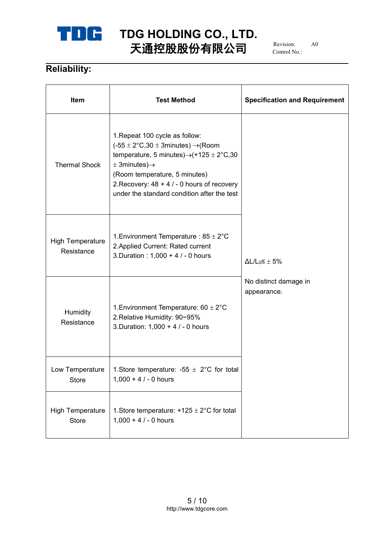

# **TDG HOLDING CO., LTD.** 天通控股股份有限公司

Revision: Control No.:

# **Reliability:**

| Item                                  | <b>Test Method</b>                                                                                                                                                                                                                                                                                                      | <b>Specification and Requirement</b> |  |  |
|---------------------------------------|-------------------------------------------------------------------------------------------------------------------------------------------------------------------------------------------------------------------------------------------------------------------------------------------------------------------------|--------------------------------------|--|--|
| <b>Thermal Shock</b>                  | 1. Repeat 100 cycle as follow:<br>$(-55 \pm 2^{\circ}C,30 \pm 3$ minutes) $\rightarrow$ (Room<br>temperature, 5 minutes) $\rightarrow$ (+125 ± 2°C,30<br>$\pm$ 3minutes) $\rightarrow$<br>(Room temperature, 5 minutes)<br>2. Recovery: $48 + 4 / - 0$ hours of recovery<br>under the standard condition after the test |                                      |  |  |
| <b>High Temperature</b><br>Resistance | 1. Environment Temperature : $85 \pm 2^{\circ}$ C<br>2. Applied Current: Rated current<br>3. Duration : 1,000 + 4 / - 0 hours                                                                                                                                                                                           | $\Delta L/L_0 \leq \pm 5\%$          |  |  |
| Humidity<br>Resistance                | 1. Environment Temperature: $60 \pm 2^{\circ}$ C<br>2. Relative Humidity: 90~95%<br>3. Duration: 1,000 + 4 / - 0 hours                                                                                                                                                                                                  | No distinct damage in<br>appearance. |  |  |
| Low Temperature<br><b>Store</b>       | 1. Store temperature: -55 $\pm$ 2°C for total<br>$1,000 + 4 / - 0$ hours                                                                                                                                                                                                                                                |                                      |  |  |
| <b>High Temperature</b><br>Store      | 1. Store temperature: $+125 \pm 2^{\circ}$ C for total<br>$1,000 + 4 / - 0$ hours                                                                                                                                                                                                                                       |                                      |  |  |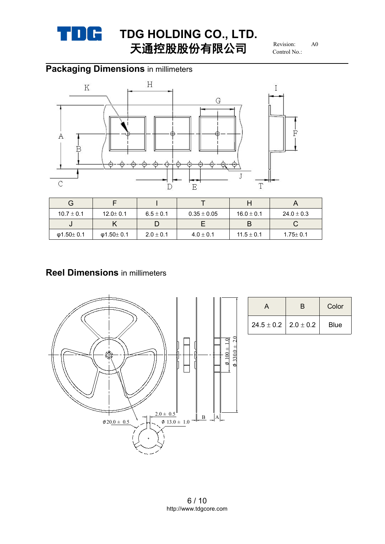

# **TDG HOLDING CO., LTD.**<br>
FX **HOLDING CO., LTD.** 天通控股股份有限公司

Revision: Control No.:

# **Packaging Dimensions** in millimeters



| G              |                |               |                 |                |                |
|----------------|----------------|---------------|-----------------|----------------|----------------|
| $10.7 \pm 0.1$ | $12.0 \pm 0.1$ | $6.5 \pm 0.1$ | $0.35 \pm 0.05$ | $16.0 \pm 0.1$ | $24.0 \pm 0.3$ |
| υ              | r              |               |                 |                |                |
| Φ1.50 $±$ 0.1  | Φ1.50 $±$ 0.1  | $2.0 \pm 0.1$ | $4.0 \pm 0.1$   | $11.5 \pm 0.1$ | $1.75 \pm 0.1$ |

## **Reel Dimensions** in millimeters



|                                              | Color       |
|----------------------------------------------|-------------|
| $\vert$ 24.5 $\pm$ 0.2 $\vert$ 2.0 $\pm$ 0.2 | <b>Blue</b> |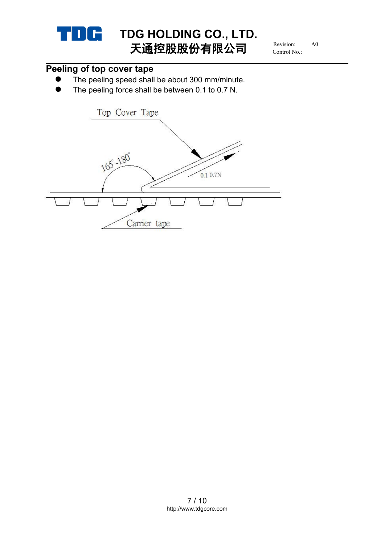

Revision: Control No.:

# **Peeling of top cover tape**

- The peeling speed shall be about 300 mm/minute.
- The peeling force shall be between 0.1 to 0.7 N.

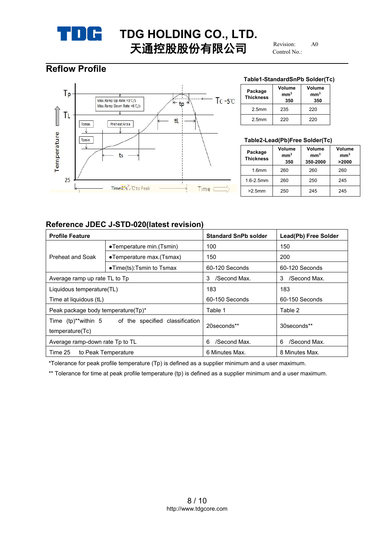

Revision: Control No.:

## **Reflow Profile**



#### **Table1-StandardSnPb Solder(Tc)**

| Package<br><b>Thickness</b> | Volume<br>mm <sup>3</sup><br>350 | Volume<br>mm <sup>3</sup><br>350 |
|-----------------------------|----------------------------------|----------------------------------|
| 2.5 <sub>mm</sub>           | 235                              | 220                              |
| 2.5 <sub>mm</sub>           | 220                              | 220                              |

#### **Table2-Lead(Pb)Free Solder(Tc)**

| Package<br><b>Thickness</b> | Volume<br>mm <sup>3</sup><br>350 | Volume<br>mm <sup>3</sup><br>350-2000 | Volume<br>mm <sup>3</sup><br>>2000 |
|-----------------------------|----------------------------------|---------------------------------------|------------------------------------|
| 1.6 <sub>mm</sub>           | 260                              | 260                                   | 260                                |
| $1.6 - 2.5$ mm              | 260                              | 250                                   | 245                                |
| $>2.5$ mm                   | 250                              | 245                                   | 245                                |

#### **Reference JDEC J-STD-020(latest revision)**

| <b>Profile Feature</b>                                                 |                                   | <b>Standard SnPb solder</b> | Lead(Pb) Free Solder |
|------------------------------------------------------------------------|-----------------------------------|-----------------------------|----------------------|
|                                                                        | •Temperature min. (Tsmin)         | 100                         | 150                  |
| Preheat and Soak                                                       | •Temperature max.(Tsmax)          | 150                         | 200                  |
|                                                                        | $\bullet$ Time(ts):Tsmin to Tsmax | 60-120 Seconds              | 60-120 Seconds       |
| Average ramp up rate TL to Tp                                          |                                   | /Second Max.<br>3           | /Second Max.<br>3    |
| Liquidous temperature(TL)                                              |                                   | 183                         | 183                  |
| Time at liquidous (tL)                                                 |                                   | 60-150 Seconds              | 60-150 Seconds       |
| Peak package body temperature(Tp)*                                     |                                   | Table 1                     | Table 2              |
| Time (tp)**within 5 of the specified classification<br>temperature(Tc) |                                   | 20 seconds**                | 30seconds**          |
| Average ramp-down rate Tp to TL                                        |                                   | /Second Max.<br>6           | /Second Max.<br>6    |
| Time 25                                                                | to Peak Temperature               | 6 Minutes Max.              | 8 Minutes Max.       |

\*Tolerance for peak profile temperature (Tp) is defined as a supplier minimum and a user maximum.

\*\* Tolerance for time at peak profile temperature (tp) is defined as a supplier minimum and a user maximum.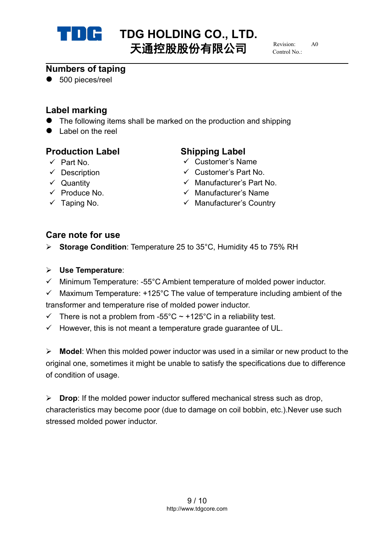

# **TDG HOLDING CO., LTD.**<br>
TX<del>LDING</del>
(1) = Revision: 40 天通控股股份有限公司

 $R$ evision: Control No.:

## **Numbers of taping**

● 500 pieces/reel

# **Label marking**

- The following items shall be marked on the production and shipping
- Label on the reel

## **Production Label Shipping Label**

- 
- 
- 
- 
- 

- Part No. Customer's Name
- $\checkmark$  Description  $\checkmark$  Customer's Part No.
- Quantity Manufacturer's Part No.
- $\checkmark$  Produce No.  $\checkmark$  Manufacturer's Name
- $\checkmark$  Taping No.  $\checkmark$  Manufacturer's Country

# **Care note for use**

- **► Storage Condition: Temperature 25 to 35°C, Humidity 45 to 75% RH**
- **Use Temperature**:
- $\checkmark$  Minimum Temperature: -55°C Ambient temperature of molded power inductor.
- $\checkmark$  Maximum Temperature: +125°C The value of temperature including ambient of the transformer and temperature rise of molded power inductor.
- $\checkmark$  There is not a problem from -55°C ~ +125°C in a reliability test.
- $\checkmark$  However, this is not meant a temperature grade guarantee of UL.

**Model:** When this molded power inductor was used in a similar or new product to the original one, sometimes it might be unable to satisfy the specifications due to difference of condition of usage.

**Drop:** If the molded power inductor suffered mechanical stress such as drop, characteristics may become poor (due to damage on coil bobbin, etc.).Never use such stressed molded power inductor.